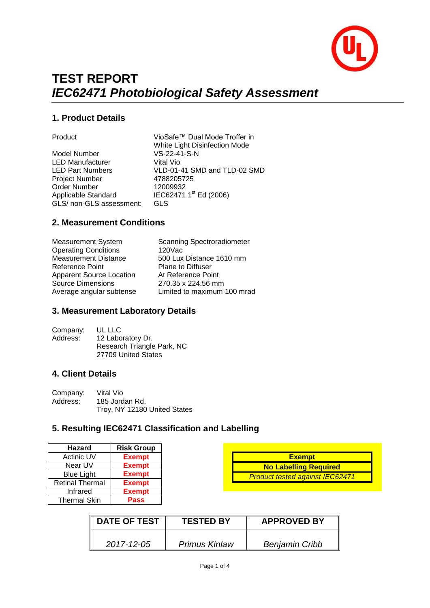

# **TEST REPORT** *IEC62471 Photobiological Safety Assessment*

#### **1. Product Details**

Model Number VS-22-41-S-N LED Manufacturer Vital Vio<br>
LED Part Numbers VLD-01-4 Project Number <br>
Order Number 12009932 Order Number Applicable Standard GLS/ non-GLS assessment: GLS

Product VioSafe™ Dual Mode Troffer in White Light Disinfection Mode VLD-01-41 SMD and TLD-02 SMD IEC62471 1<sup>st</sup> Ed (2006)

#### **2. Measurement Conditions**

| <b>Measurement System</b><br><b>Operating Conditions</b> | <b>Scanning Spectroradiometer</b><br>120Vac |
|----------------------------------------------------------|---------------------------------------------|
| <b>Measurement Distance</b>                              | 500 Lux Distance 1610 mm                    |
| Reference Point                                          | <b>Plane to Diffuser</b>                    |
| <b>Apparent Source Location</b>                          | At Reference Point                          |
| <b>Source Dimensions</b>                                 | 270.35 x 224.56 mm                          |
| Average angular subtense                                 | Limited to maximum 100 mrad                 |
|                                                          |                                             |

#### **3. Measurement Laboratory Details**

| UL LLC                     |
|----------------------------|
| 12 Laboratory Dr.          |
| Research Triangle Park, NC |
| 27709 United States        |
|                            |

#### **4. Client Details**

| Company: | Vital Vio                    |  |  |
|----------|------------------------------|--|--|
| Address: | 185 Jordan Rd.               |  |  |
|          | Troy, NY 12180 United States |  |  |

#### **5. Resulting IEC62471 Classification and Labelling**

| <b>Hazard</b>          | <b>Risk Group</b> |
|------------------------|-------------------|
| <b>Actinic UV</b>      | <b>Exempt</b>     |
| Near UV                | <b>Exempt</b>     |
| <b>Blue Light</b>      | <b>Exempt</b>     |
| <b>Retinal Thermal</b> | <b>Exempt</b>     |
| Infrared               | <b>Exempt</b>     |
| <b>Thermal Skin</b>    | Pass              |

|                              | <b>Exempt</b>                          |  |  |
|------------------------------|----------------------------------------|--|--|
| <b>No Labelling Required</b> |                                        |  |  |
|                              | <b>Product tested against IEC62471</b> |  |  |

| <b>DATE OF TEST</b> | <b>TESTED BY</b> | <b>APPROVED BY</b>    |
|---------------------|------------------|-----------------------|
| 2017-12-05          | Primus Kinlaw    | <b>Benjamin Cribb</b> |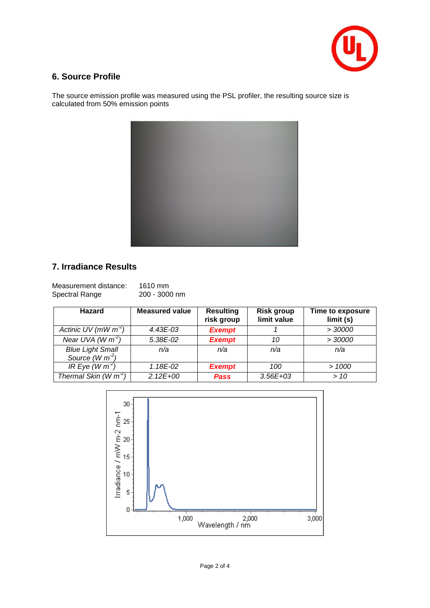

### **6. Source Profile**

The source emission profile was measured using the PSL profiler, the resulting source size is calculated from 50% emission points



## **7. Irradiance Results**

| Measurement distance: | 1610 mm       |
|-----------------------|---------------|
| Spectral Range        | 200 - 3000 nm |

| <b>Hazard</b>                               | <b>Measured value</b> | <b>Resulting</b><br>risk group | <b>Risk group</b><br>limit value | Time to exposure<br>limit(s) |
|---------------------------------------------|-----------------------|--------------------------------|----------------------------------|------------------------------|
| Actinic UV (mW $m^2$ )                      | $4.43E - 03$          | <b>Exempt</b>                  |                                  | > 30000                      |
| Near UVA (W $m^2$ )                         | 5.38E-02              | <b>Exempt</b>                  | 10                               | > 30000                      |
| <b>Blue Light Small</b><br>Source $(W m-2)$ | n/a                   | n/a                            | n/a                              | n/a                          |
| IR Eye (W $\overline{m^2}$ )                | $1.18E-02$            | <b>Exempt</b>                  | 100                              | >1000                        |
| Thermal Skin $(W m^2)$                      | $2.12E + 00$          | <b>Pass</b>                    | $3.56E + 03$                     | >10                          |

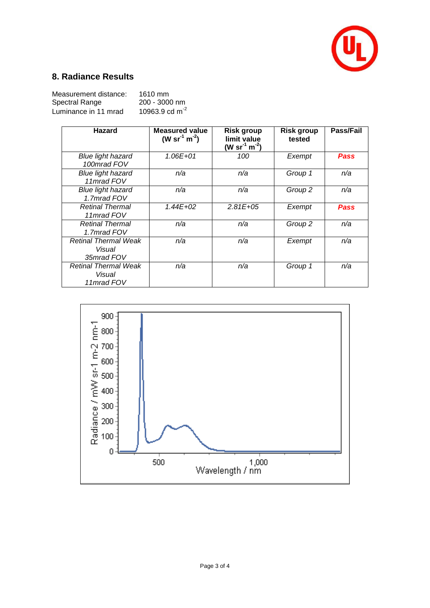

## **8. Radiance Results**

| Measurement distance: | 1610 mm             |
|-----------------------|---------------------|
| Spectral Range        | $200 - 3000$ nm     |
| Luminance in 11 mrad  | 10963.9 cd $m^{-2}$ |

| <b>Hazard</b>                                       | <b>Measured value</b><br>(W sr <sup>-1</sup> m <sup>-2</sup> ) | <b>Risk group</b><br>limit value<br>(W sr <sup>-1</sup> m <sup>-2</sup> ) | <b>Risk group</b><br>tested | Pass/Fail   |
|-----------------------------------------------------|----------------------------------------------------------------|---------------------------------------------------------------------------|-----------------------------|-------------|
| <b>Blue light hazard</b><br>100mrad FOV             | $1.06E + 01$                                                   | 100                                                                       | Exempt                      | <b>Pass</b> |
| <b>Blue light hazard</b><br>11mrad FOV              | n/a                                                            | n/a                                                                       | Group 1                     | n/a         |
| <b>Blue light hazard</b><br>1.7mrad FOV             | n/a                                                            | n/a                                                                       | Group 2                     | n/a         |
| <b>Retinal Thermal</b><br>11mrad FOV                | $1.44E + 02$                                                   | $2.81E + 0.5$                                                             | Exempt                      | Pass        |
| <b>Retinal Thermal</b><br>1.7mrad FOV               | n/a                                                            | n/a                                                                       | Group 2                     | n/a         |
| <b>Retinal Thermal Weak</b><br>Visual<br>35mrad FOV | n/a                                                            | n/a                                                                       | Exempt                      | n/a         |
| <b>Retinal Thermal Weak</b><br>Visual<br>11mrad FOV | n/a                                                            | n/a                                                                       | Group 1                     | n/a         |